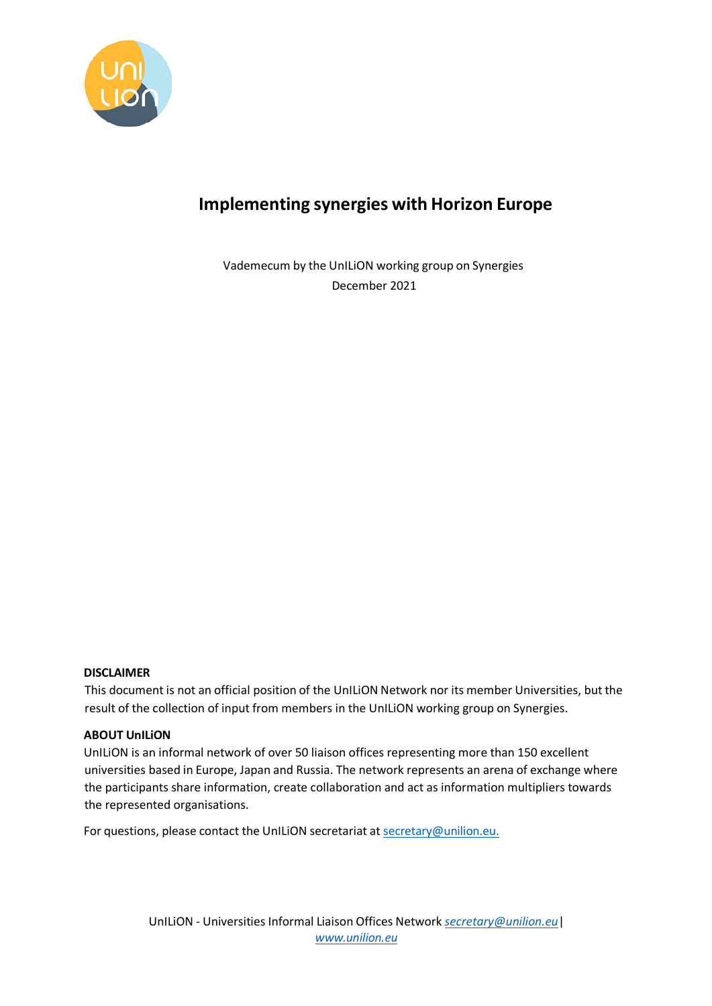

# <span id="page-0-0"></span>**Implementing synergies with Horizon Europe**

Vademecum by the UnILiON working group on Synergies December 2021

#### **DISCLAIMER**

This document is not an official position of the UnILiON Network nor its member Universities, but the result of the collection of input from members in the UnILiON working group on Synergies.

#### **ABOUT UnILiON**

UnILiON is an informal network of over 50 liaison offices representing more than 150 excellent universities based in Europe, Japan and Russia. The network represents an arena of exchange where the participants share information, create collaboration and act as information multipliers towards the represented organisations.

For questions, please contact the UnILION secretariat at [secretary@unilion.eu.](mailto:secretary@unilion.eu)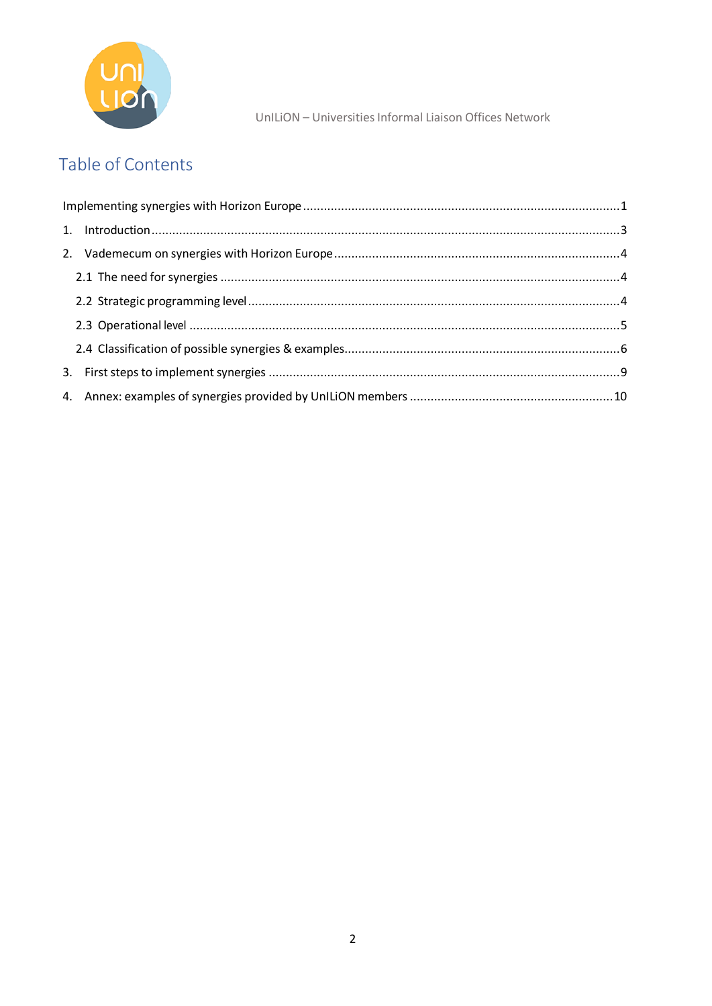

# Table of Contents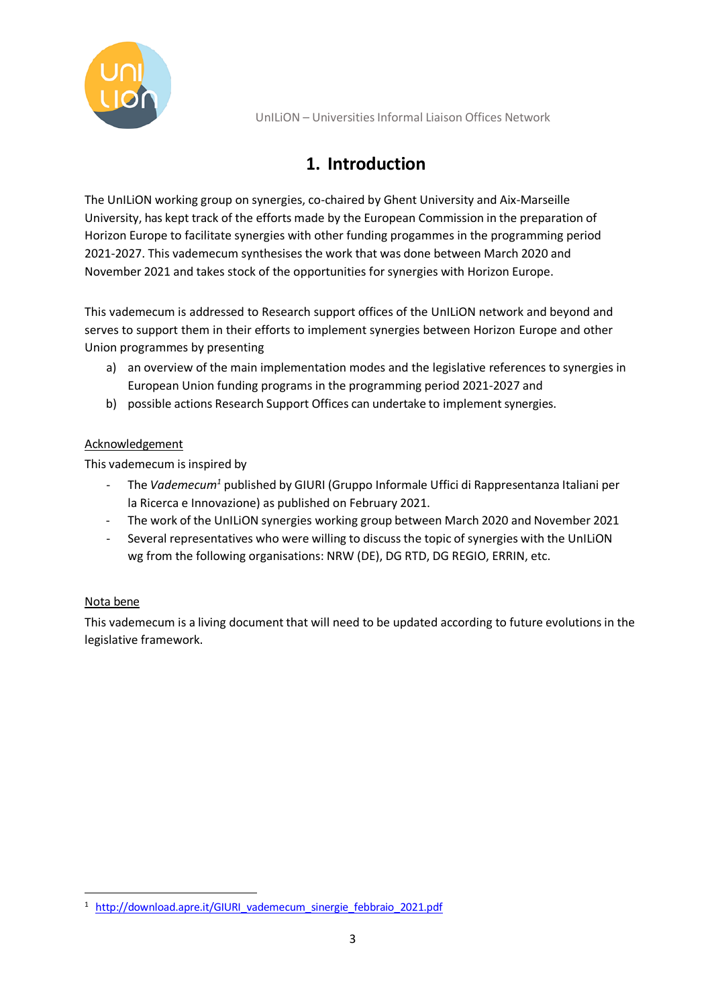

# **1. Introduction**

<span id="page-2-0"></span>The UnILiON working group on synergies, co-chaired by Ghent University and Aix-Marseille University, has kept track of the efforts made by the European Commission in the preparation of Horizon Europe to facilitate synergies with other funding progammes in the programming period 2021-2027. This vademecum synthesises the work that was done between March 2020 and November 2021 and takes stock of the opportunities for synergies with Horizon Europe.

This vademecum is addressed to Research support offices of the UnILiON network and beyond and serves to support them in their efforts to implement synergies between Horizon Europe and other Union programmes by presenting

- a) an overview of the main implementation modes and the legislative references to synergies in European Union funding programs in the programming period 2021-2027 and
- b) possible actions Research Support Offices can undertake to implement synergies.

### Acknowledgement

This vademecum is inspired by

- The *Vademecum<sup>1</sup>* published by GIURI (Gruppo Informale Uffici di Rappresentanza Italiani per la Ricerca e Innovazione) as published on February 2021.
- The work of the UnILiON synergies working group between March 2020 and November 2021
- Several representatives who were willing to discuss the topic of synergies with the UnILION wg from the following organisations: NRW (DE), DG RTD, DG REGIO, ERRIN, etc.

### Nota bene

This vademecum is a living document that will need to be updated according to future evolutions in the legislative framework.

<sup>&</sup>lt;sup>1</sup> http://download.apre.it/GIURI vademecum sinergie febbraio 2021.pdf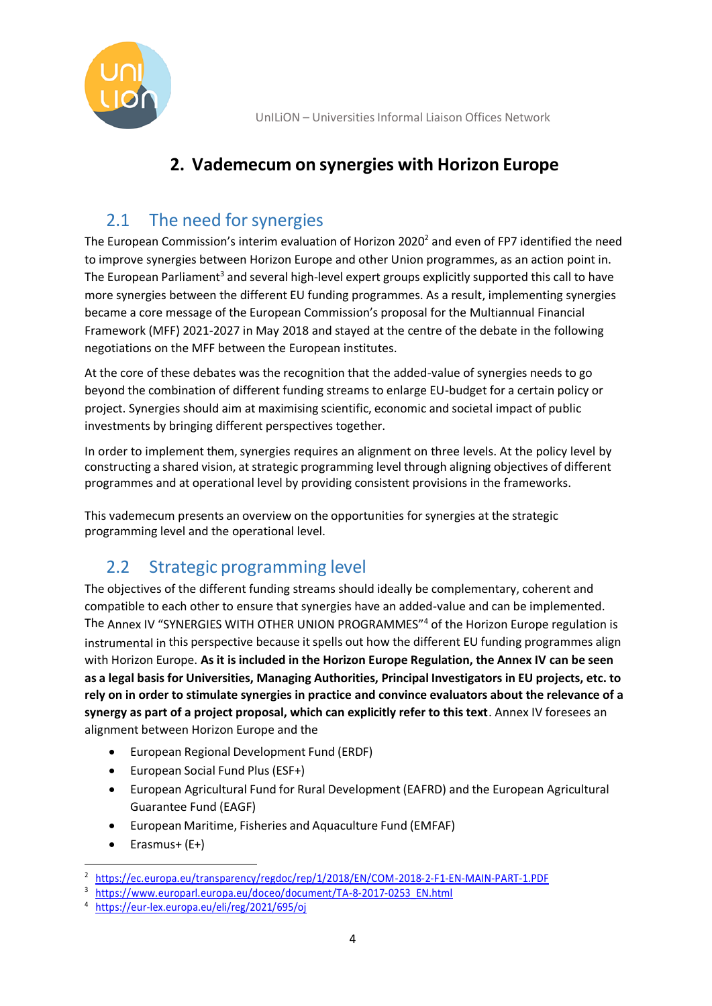

### **2. Vademecum on synergies with Horizon Europe**

# <span id="page-3-0"></span>2.1 The need for synergies

<span id="page-3-1"></span>The European Commission's [interim evaluation](https://ec.europa.eu/transparency/regdoc/rep/1/2018/EN/COM-2018-2-F1-EN-MAIN-PART-1.PDF) of Horizon 2020<sup>2</sup> and even of FP7 identified the need to improve synergies between Horizon Europe and other Union programmes, as an action point in. The European Parliament<sup>3</sup> and several high-level expert groups explicitly supported this call to have more synergies between the different EU funding programmes. As a result, implementing synergies became a core message of the European Commission's proposal for the Multiannual Financial Framework (MFF) 2021-2027 in May 2018 and stayed at the centre of the debate in the following negotiations on the MFF between the European institutes.

At the core of these debates was the recognition that the added-value of synergies needs to go beyond the combination of different funding streams to enlarge EU-budget for a certain policy or project. Synergies should aim at maximising scientific, economic and societal impact of public investments by bringing different perspectives together.

In order to implement them, synergies requires an alignment on three levels. At the policy level by constructing a shared vision, at strategic programming level through aligning objectives of different programmes and at operational level by providing consistent provisions in the frameworks.

This vademecum presents an overview on the opportunities forsynergies at the strategic programming level and the operational level.

# 2.2 Strategic programming level

<span id="page-3-2"></span>The objectives of the different funding streams should ideally be complementary, coherent and compatible to each other to ensure that synergies have an added-value and can be implemented. The Annex IV "SYNERGIES WITH OTHER UNION PROGRAMMES"<sup>4</sup> of the Horizon Europe regulation is instrumental in this perspective because it spells out how the different EU funding programmes align with Horizon Europe. **As it is included in the Horizon Europe Regulation, the Annex IV can be seen as a legal basis for Universities, Managing Authorities, Principal Investigators in EU projects, etc. to rely on in order to stimulate synergies in practice and convince evaluators about the relevance of a synergy as part of a project proposal, which can explicitly refer to this text**. Annex IV foresees an alignment between Horizon Europe and the

- European Regional Development Fund (ERDF)
- European Social Fund Plus (ESF+)
- European Agricultural Fund for Rural Development (EAFRD) and the European Agricultural Guarantee Fund (EAGF)
- European Maritime, Fisheries and Aquaculture Fund (EMFAF)
- $\bullet$  Erasmus+ (E+)

<sup>2</sup> <https://ec.europa.eu/transparency/regdoc/rep/1/2018/EN/COM-2018-2-F1-EN-MAIN-PART-1.PDF>

<sup>3</sup> [https://www.europarl.europa.eu/doceo/document/TA-8-2017-0253\\_EN.html](https://www.europarl.europa.eu/doceo/document/TA-8-2017-0253_EN.html)

<sup>4</sup> <https://eur-lex.europa.eu/eli/reg/2021/695/oj>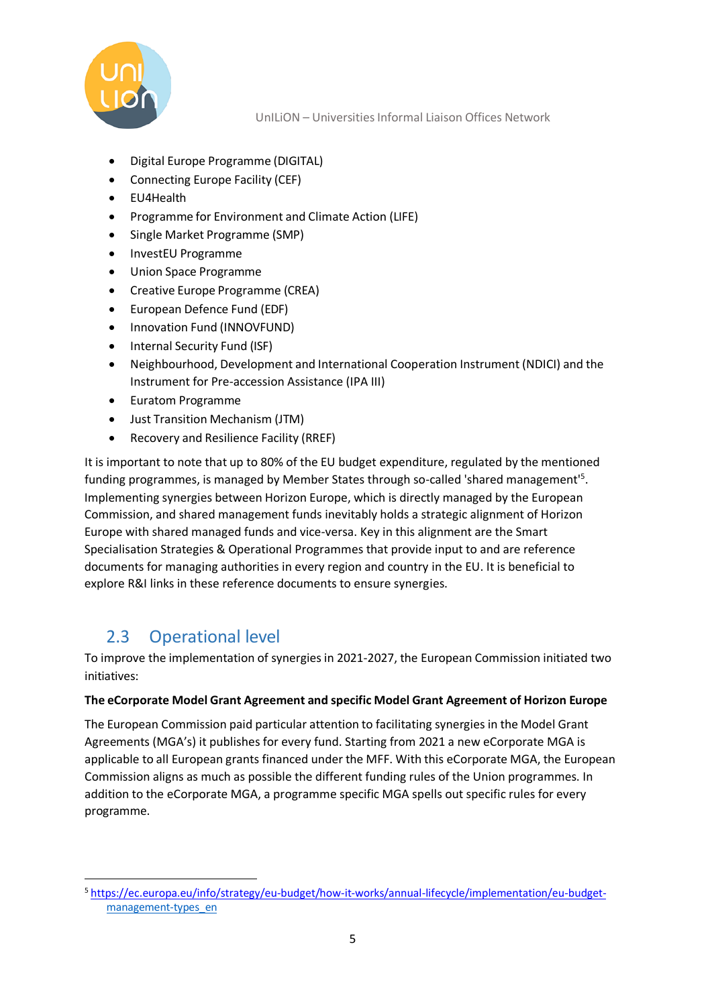

- Digital Europe Programme (DIGITAL)
- Connecting Europe Facility (CEF)
- EU4Health
- Programme for Environment and Climate Action (LIFE)
- Single Market Programme (SMP)
- InvestEU Programme
- Union Space Programme
- Creative Europe Programme (CREA)
- European Defence Fund (EDF)
- Innovation Fund (INNOVFUND)
- Internal Security Fund (ISF)
- Neighbourhood, Development and International Cooperation Instrument (NDICI) and the Instrument for Pre-accession Assistance (IPA III)
- Euratom Programme
- Just Transition Mechanism (JTM)
- Recovery and Resilience Facility (RREF)

It is important to note that up to 80% of the EU budget expenditure, regulated by the mentioned funding programmes, is managed by Member States through so-called 'shared management'<sup>5</sup>. Implementing synergies between Horizon Europe, which is directly managed by the European Commission, and shared management funds inevitably holds a strategic alignment of Horizon Europe with shared managed funds and vice-versa. Key in this alignment are the Smart Specialisation Strategies & Operational Programmes that provide input to and are reference documents for managing authorities in every region and country in the EU. It is beneficial to explore R&I links in these reference documents to ensure synergies.

# 2.3 Operational level

<span id="page-4-0"></span>To improve the implementation of synergies in 2021-2027, the European Commission initiated two initiatives:

#### **The eCorporate Model Grant Agreement and specific Model Grant Agreement of Horizon Europe**

The European Commission paid particular attention to facilitating synergies in the Model Grant Agreements (MGA's) it publishes for every fund. Starting from 2021 a new eCorporate MGA is applicable to all European grants financed under the MFF. With this eCorporate MGA, the European Commission aligns as much as possible the different funding rules of the Union programmes. In addition to the eCorporate MGA, a programme specific MGA spells out specific rules for every programme.

<sup>5</sup> [https://ec.europa.eu/info/strategy/eu-budget/how-it-works/annual-lifecycle/implementation/eu-budget](https://ec.europa.eu/info/strategy/eu-budget/how-it-works/annual-lifecycle/implementation/eu-budget-)[management-types\\_en](https://ec.europa.eu/info/strategy/eu-budget/how-it-works/annual-lifecycle/implementation/eu-budget-management-types_en)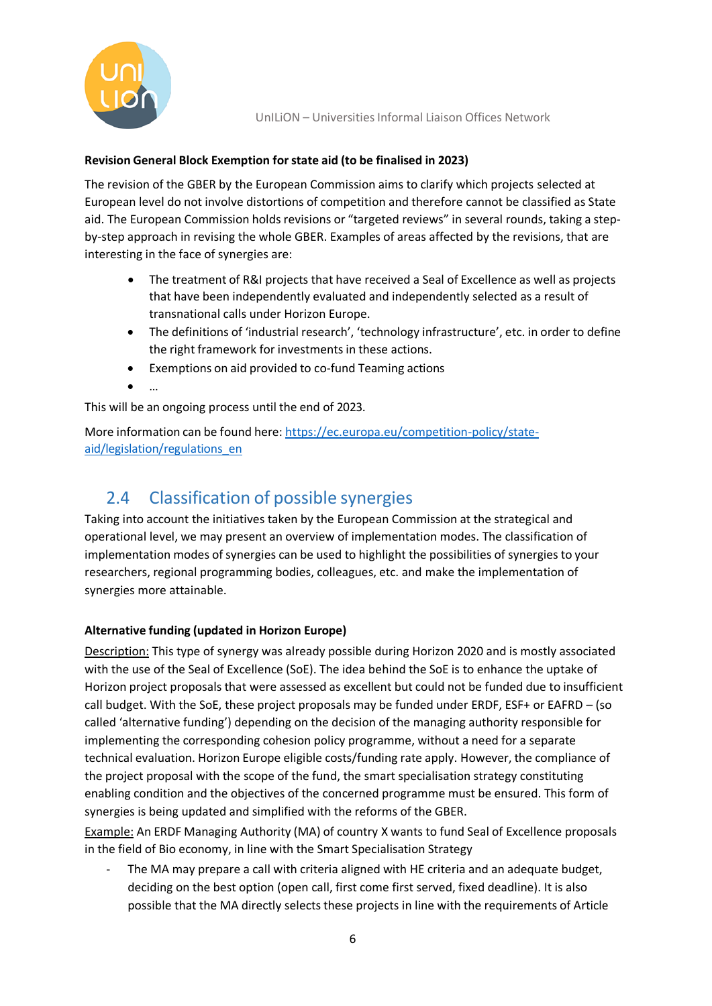

### **Revision General Block Exemption forstate aid (to be finalised in 2023)**

The revision of the GBER by the European Commission aims to clarify which projects selected at European level do not involve distortions of competition and therefore cannot be classified as State aid. The European Commission holds revisions or "targeted reviews" in several rounds, taking a stepby-step approach in revising the whole GBER. Examples of areas affected by the revisions, that are interesting in the face of synergies are:

- The treatment of R&I projects that have received a Seal of Excellence as well as projects that have been independently evaluated and independently selected as a result of transnational calls under Horizon Europe.
- The definitions of 'industrial research', 'technology infrastructure', etc. in order to define the right framework for investments in these actions.
- Exemptions on aid provided to co-fund Teaming actions
- …

This will be an ongoing process until the end of 2023.

More information can be found here: [https://ec.europa.eu/competition-policy/state](https://ec.europa.eu/competition-policy/state-aid/legislation/regulations_en)[aid/legislation/regulations\\_en](https://ec.europa.eu/competition-policy/state-aid/legislation/regulations_en)

# 2.4 Classification of possible synergies

<span id="page-5-0"></span>Taking into account the initiatives taken by the European Commission at the strategical and operational level, we may present an overview of implementation modes. The classification of implementation modes of synergies can be used to highlight the possibilities of synergies to your researchers, regional programming bodies, colleagues, etc. and make the implementation of synergies more attainable.

### **Alternative funding (updated in Horizon Europe)**

Description: This type of synergy was already possible during Horizon 2020 and is mostly associated with the use of the Seal of Excellence (SoE). The idea behind the SoE is to enhance the uptake of Horizon project proposals that were assessed as excellent but could not be funded due to insufficient call budget. With the SoE, these project proposals may be funded under ERDF, ESF+ or EAFRD – (so called 'alternative funding') depending on the decision of the managing authority responsible for implementing the corresponding cohesion policy programme, without a need for a separate technical evaluation. Horizon Europe eligible costs/funding rate apply. However, the compliance of the project proposal with the scope of the fund, the smart specialisation strategy constituting enabling condition and the objectives of the concerned programme must be ensured. This form of synergies is being updated and simplified with the reforms of the GBER.

Example: An ERDF Managing Authority (MA) of country X wants to fund Seal of Excellence proposals in the field of Bio economy, in line with the Smart Specialisation Strategy

The MA may prepare a call with criteria aligned with HE criteria and an adequate budget, deciding on the best option (open call, first come first served, fixed deadline). It is also possible that the MA directly selects these projects in line with the requirements of Article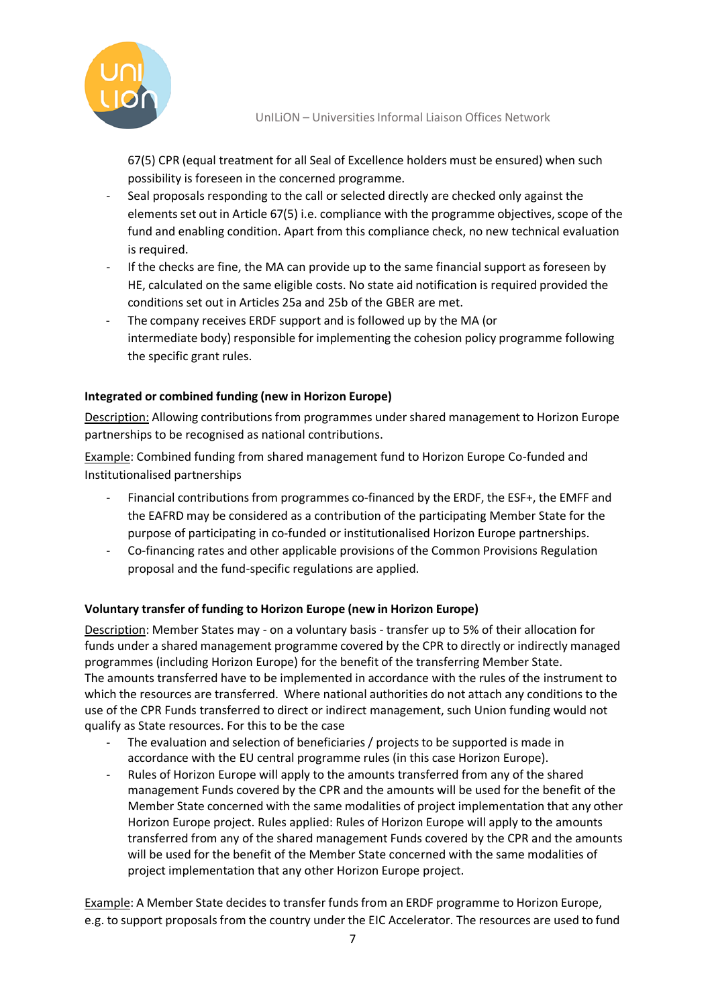

67(5) CPR (equal treatment for all Seal of Excellence holders must be ensured) when such possibility is foreseen in the concerned programme.

- Seal proposals responding to the call or selected directly are checked only against the elements set out in Article 67(5) i.e. compliance with the programme objectives, scope of the fund and enabling condition. Apart from this compliance check, no new technical evaluation is required.
- If the checks are fine, the MA can provide up to the same financial support as foreseen by HE, calculated on the same eligible costs. No state aid notification is required provided the conditions set out in Articles 25a and 25b of the GBER are met.
- The company receives ERDF support and is followed up by the MA (or intermediate body) responsible for implementing the cohesion policy programme following the specific grant rules.

### **Integrated or combined funding (new in Horizon Europe)**

Description: Allowing contributions from programmes under shared management to Horizon Europe partnerships to be recognised as national contributions.

Example: Combined funding from shared management fund to Horizon Europe Co-funded and Institutionalised partnerships

- Financial contributions from programmes co-financed by the ERDF, the ESF+, the EMFF and the EAFRD may be considered as a contribution of the participating Member State for the purpose of participating in co-funded or institutionalised Horizon Europe partnerships.
- Co-financing rates and other applicable provisions of the Common Provisions Regulation proposal and the fund-specific regulations are applied.

### **Voluntary transfer of funding to Horizon Europe (new in Horizon Europe)**

Description: Member States may - on a voluntary basis - transfer up to 5% of their allocation for funds under a shared management programme covered by the CPR to directly or indirectly managed programmes (including Horizon Europe) for the benefit of the transferring Member State. The amounts transferred have to be implemented in accordance with the rules of the instrument to which the resources are transferred. Where national authorities do not attach any conditions to the use of the CPR Funds transferred to direct or indirect management, such Union funding would not qualify as State resources. For this to be the case

- The evaluation and selection of beneficiaries / projects to be supported is made in accordance with the EU central programme rules (in this case Horizon Europe).
- Rules of Horizon Europe will apply to the amounts transferred from any of the shared management Funds covered by the CPR and the amounts will be used for the benefit of the Member State concerned with the same modalities of project implementation that any other Horizon Europe project. Rules applied: Rules of Horizon Europe will apply to the amounts transferred from any of the shared management Funds covered by the CPR and the amounts will be used for the benefit of the Member State concerned with the same modalities of project implementation that any other Horizon Europe project.

Example: A Member State decides to transfer funds from an ERDF programme to Horizon Europe, e.g. to support proposals from the country under the EIC Accelerator. The resources are used to fund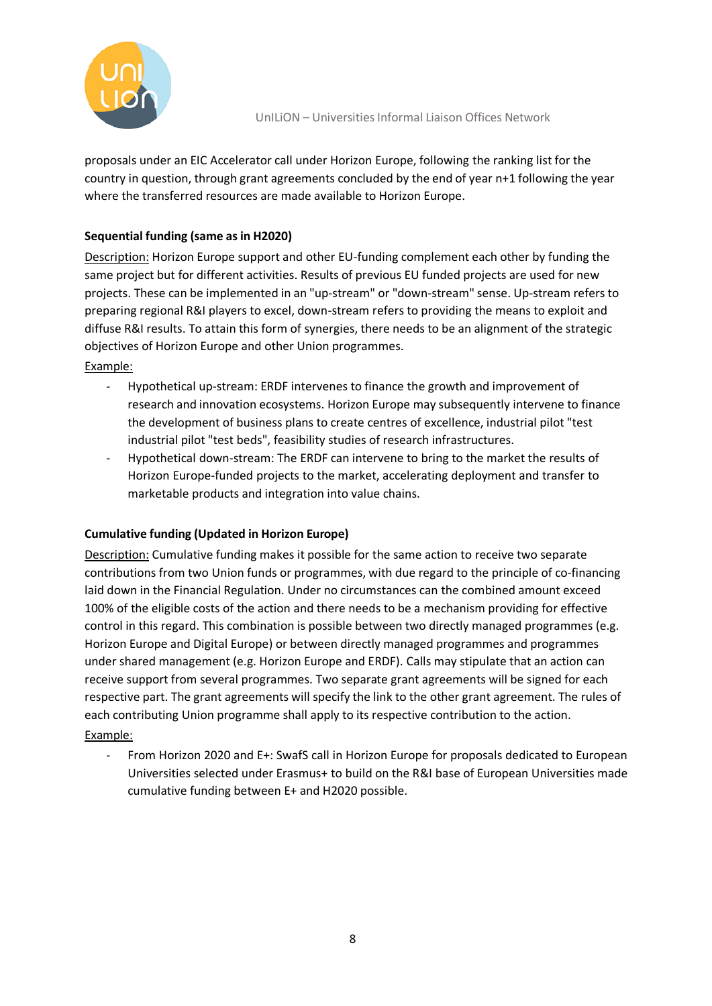

proposals under an EIC Accelerator call under Horizon Europe, following the ranking list for the country in question, through grant agreements concluded by the end of year n+1 following the year where the transferred resources are made available to Horizon Europe.

### **Sequential funding (same asin H2020)**

Description: Horizon Europe support and other EU-funding complement each other by funding the same project but for different activities. Results of previous EU funded projects are used for new projects. These can be implemented in an "up-stream" or "down-stream" sense. Up-stream refers to preparing regional R&I players to excel, down-stream refers to providing the means to exploit and diffuse R&I results. To attain this form of synergies, there needs to be an alignment of the strategic objectives of Horizon Europe and other Union programmes.

Example:

- Hypothetical up-stream: ERDF intervenes to finance the growth and improvement of research and innovation ecosystems. Horizon Europe may subsequently intervene to finance the development of business plans to create centres of excellence, industrial pilot "test industrial pilot "test beds", feasibility studies of research infrastructures.
- Hypothetical down-stream: The ERDF can intervene to bring to the market the results of Horizon Europe-funded projects to the market, accelerating deployment and transfer to marketable products and integration into value chains.

### **Cumulative funding (Updated in Horizon Europe)**

Description: Cumulative funding makes it possible for the same action to receive two separate contributions from two Union funds or programmes, with due regard to the principle of co-financing laid down in the Financial Regulation. Under no circumstances can the combined amount exceed 100% of the eligible costs of the action and there needs to be a mechanism providing for effective control in this regard. This combination is possible between two directly managed programmes (e.g. Horizon Europe and Digital Europe) or between directly managed programmes and programmes under shared management (e.g. Horizon Europe and ERDF). Calls may stipulate that an action can receive support from several programmes. Two separate grant agreements will be signed for each respective part. The grant agreements will specify the link to the other grant agreement. The rules of each contributing Union programme shall apply to its respective contribution to the action. Example:

- From Horizon 2020 and E+: SwafS call in Horizon Europe for proposals dedicated to European Universities selected under Erasmus+ to build on the R&I base of European Universities made cumulative funding between E+ and H2020 possible.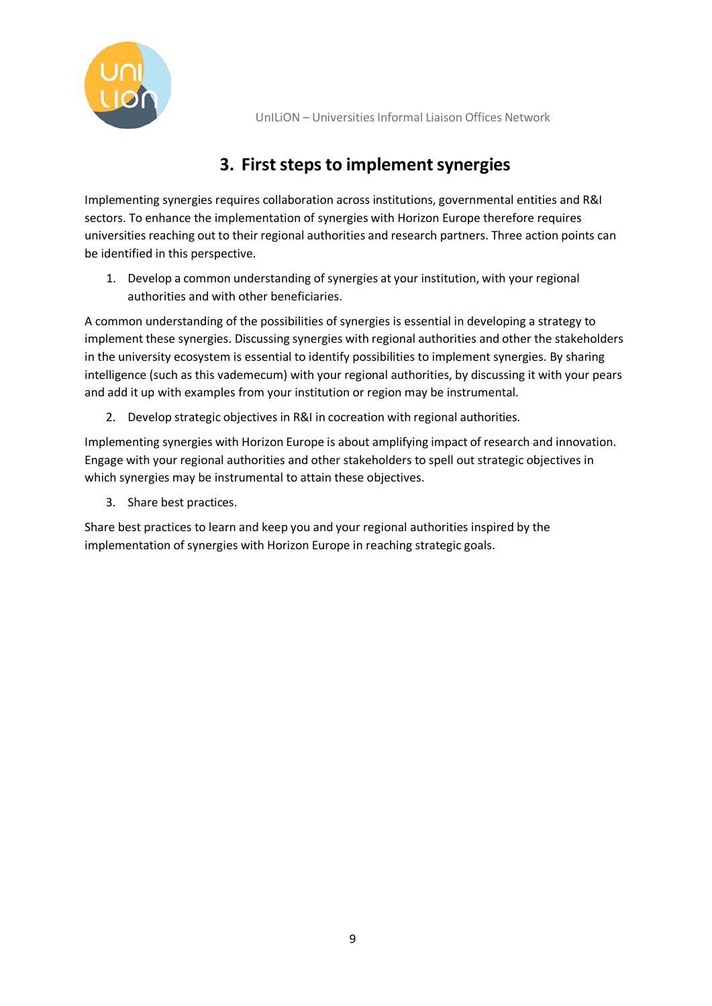

# **3. First steps to implement synergies**

<span id="page-8-0"></span>Implementing synergies requires collaboration across institutions, governmental entities and R&I sectors. To enhance the implementation of synergies with Horizon Europe therefore requires universities reaching out to their regional authorities and research partners. Three action points can be identified in this perspective.

1. Develop a common understanding of synergies at your institution, with your regional authorities and with other beneficiaries.

A common understanding of the possibilities of synergies is essential in developing a strategy to implement these synergies. Discussing synergies with regional authorities and other the stakeholders in the university ecosystem is essential to identify possibilities to implement synergies. By sharing intelligence (such as this vademecum) with your regional authorities, by discussing it with your pears and add it up with examples from your institution or region may be instrumental.

2. Develop strategic objectives in R&I in cocreation with regional authorities.

Implementing synergies with Horizon Europe is about amplifying impact of research and innovation. Engage with your regional authorities and other stakeholders to spell out strategic objectives in which synergies may be instrumental to attain these objectives.

3. Share best practices.

Share best practices to learn and keep you and your regional authorities inspired by the implementation of synergies with Horizon Europe in reaching strategic goals.